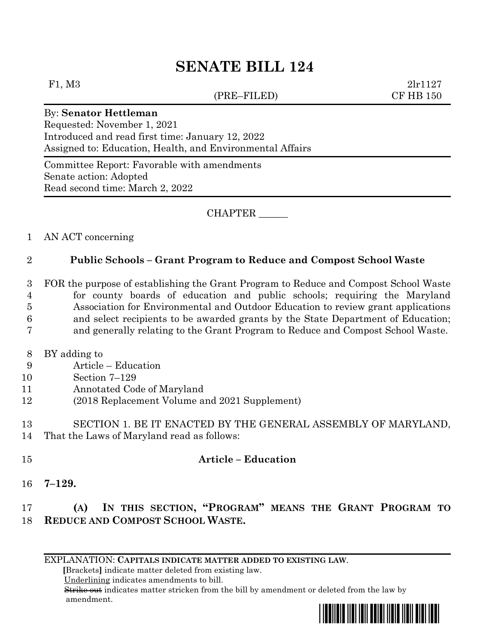# **SENATE BILL 124**

#### (PRE–FILED) CF HB 150

F1, M3 2lr1127

### By: **Senator Hettleman**

Requested: November 1, 2021 Introduced and read first time: January 12, 2022 Assigned to: Education, Health, and Environmental Affairs

Committee Report: Favorable with amendments Senate action: Adopted Read second time: March 2, 2022

CHAPTER \_\_\_\_\_\_

### 1 AN ACT concerning

### 2 **Public Schools – Grant Program to Reduce and Compost School Waste**

 FOR the purpose of establishing the Grant Program to Reduce and Compost School Waste for county boards of education and public schools; requiring the Maryland Association for Environmental and Outdoor Education to review grant applications and select recipients to be awarded grants by the State Department of Education; and generally relating to the Grant Program to Reduce and Compost School Waste.

- 8 BY adding to
- 9 Article Education
- 10 Section 7–129
- 11 Annotated Code of Maryland
- 12 (2018 Replacement Volume and 2021 Supplement)
- 13 SECTION 1. BE IT ENACTED BY THE GENERAL ASSEMBLY OF MARYLAND, 14 That the Laws of Maryland read as follows:
- 15 **Article – Education**
- 16 **7–129.**

## 17 **(A) IN THIS SECTION, "PROGRAM" MEANS THE GRANT PROGRAM TO**  18 **REDUCE AND COMPOST SCHOOL WASTE.**

EXPLANATION: **CAPITALS INDICATE MATTER ADDED TO EXISTING LAW**.

 **[**Brackets**]** indicate matter deleted from existing law.

Underlining indicates amendments to bill.

 Strike out indicates matter stricken from the bill by amendment or deleted from the law by amendment.

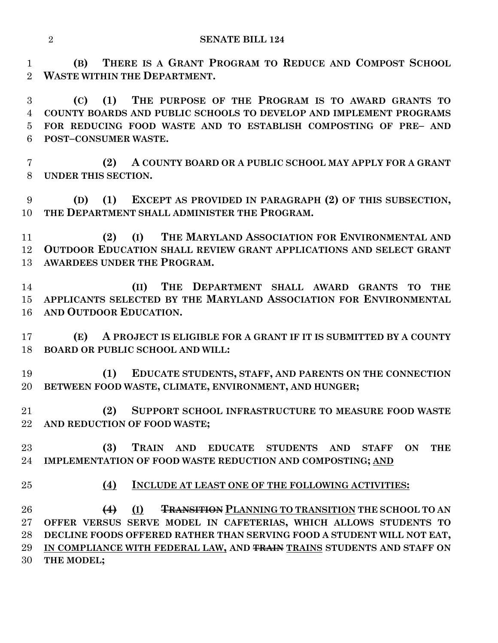**(B) THERE IS A GRANT PROGRAM TO REDUCE AND COMPOST SCHOOL WASTE WITHIN THE DEPARTMENT.**

 **(C) (1) THE PURPOSE OF THE PROGRAM IS TO AWARD GRANTS TO COUNTY BOARDS AND PUBLIC SCHOOLS TO DEVELOP AND IMPLEMENT PROGRAMS FOR REDUCING FOOD WASTE AND TO ESTABLISH COMPOSTING OF PRE– AND POST–CONSUMER WASTE.**

 **(2) A COUNTY BOARD OR A PUBLIC SCHOOL MAY APPLY FOR A GRANT UNDER THIS SECTION.**

 **(D) (1) EXCEPT AS PROVIDED IN PARAGRAPH (2) OF THIS SUBSECTION, THE DEPARTMENT SHALL ADMINISTER THE PROGRAM.**

 **(2) (I) THE MARYLAND ASSOCIATION FOR ENVIRONMENTAL AND OUTDOOR EDUCATION SHALL REVIEW GRANT APPLICATIONS AND SELECT GRANT AWARDEES UNDER THE PROGRAM.**

 **(II) THE DEPARTMENT SHALL AWARD GRANTS TO THE APPLICANTS SELECTED BY THE MARYLAND ASSOCIATION FOR ENVIRONMENTAL AND OUTDOOR EDUCATION.**

 **(E) A PROJECT IS ELIGIBLE FOR A GRANT IF IT IS SUBMITTED BY A COUNTY BOARD OR PUBLIC SCHOOL AND WILL:**

 **(1) EDUCATE STUDENTS, STAFF, AND PARENTS ON THE CONNECTION BETWEEN FOOD WASTE, CLIMATE, ENVIRONMENT, AND HUNGER;**

 **(2) SUPPORT SCHOOL INFRASTRUCTURE TO MEASURE FOOD WASTE AND REDUCTION OF FOOD WASTE;**

 **(3) TRAIN AND EDUCATE STUDENTS AND STAFF ON THE IMPLEMENTATION OF FOOD WASTE REDUCTION AND COMPOSTING; AND**

- 
- **(4) INCLUDE AT LEAST ONE OF THE FOLLOWING ACTIVITIES:**

 **(4) (I) TRANSITION PLANNING TO TRANSITION THE SCHOOL TO AN OFFER VERSUS SERVE MODEL IN CAFETERIAS, WHICH ALLOWS STUDENTS TO DECLINE FOODS OFFERED RATHER THAN SERVING FOOD A STUDENT WILL NOT EAT, IN COMPLIANCE WITH FEDERAL LAW, AND TRAIN TRAINS STUDENTS AND STAFF ON THE MODEL;**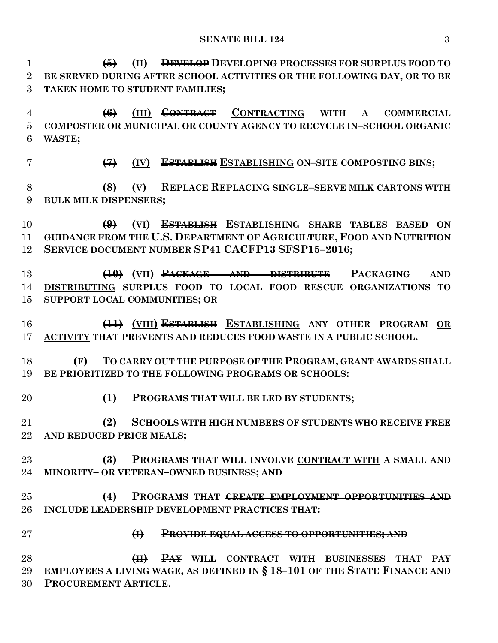| $\mathbf{1}$     | <b>DEVELOP DEVELOPING PROCESSES FOR SURPLUS FOOD TO</b><br>(II)<br>$\left(5\right)$   |
|------------------|---------------------------------------------------------------------------------------|
| $\overline{2}$   | BE SERVED DURING AFTER SCHOOL ACTIVITIES OR THE FOLLOWING DAY, OR TO BE               |
| 3                | TAKEN HOME TO STUDENT FAMILIES;                                                       |
| $\overline{4}$   | (III) CONTRACT CONTRACTING WITH<br>$\left(6\right)$<br><b>COMMERCIAL</b><br>${\bf A}$ |
| $\overline{5}$   | COMPOSTER OR MUNICIPAL OR COUNTY AGENCY TO RECYCLE IN-SCHOOL ORGANIC                  |
| 6                | WASTE;                                                                                |
| $\overline{7}$   | <b>ESTABLISH ESTABLISHING ON-SITE COMPOSTING BINS;</b><br>$\leftrightarrow$<br>(IV)   |
| 8                | REPLACE REPLACING SINGLE-SERVE MILK CARTONS WITH<br>$\left( 8 \right)$<br>(V)         |
| $\boldsymbol{9}$ | <b>BULK MILK DISPENSERS;</b>                                                          |
| 10               | (VI) ESTABLISH ESTABLISHING SHARE TABLES BASED ON<br>$\bigoplus$                      |
| 11               | GUIDANCE FROM THE U.S. DEPARTMENT OF AGRICULTURE, FOOD AND NUTRITION                  |
| 12               | SERVICE DOCUMENT NUMBER SP41 CACFP13 SFSP15-2016;                                     |
| 13               | $(10)$ (VII) $P_{ACKAGE}$ AND DISTRIBUTE<br><b>PACKAGING</b><br><b>AND</b>            |
| 14               | DISTRIBUTING SURPLUS FOOD TO LOCAL FOOD RESCUE ORGANIZATIONS TO                       |
| 15               | SUPPORT LOCAL COMMUNITIES; OR                                                         |
| 16               | (11) (VIII) ESTABLISH ESTABLISHING ANY OTHER PROGRAM<br>OR                            |
| 17               | ACTIVITY THAT PREVENTS AND REDUCES FOOD WASTE IN A PUBLIC SCHOOL.                     |
| 18               | TO CARRY OUT THE PURPOSE OF THE PROGRAM, GRANT AWARDS SHALL<br>(F)                    |
| 19               | BE PRIORITIZED TO THE FOLLOWING PROGRAMS OR SCHOOLS:                                  |
| 20               | (1)<br>PROGRAMS THAT WILL BE LED BY STUDENTS;                                         |
| 21               | (2) SCHOOLS WITH HIGH NUMBERS OF STUDENTS WHO RECEIVE FREE                            |
| $22\,$           | AND REDUCED PRICE MEALS;                                                              |
| 23               | (3)<br>PROGRAMS THAT WILL INVOLVE CONTRACT WITH A SMALL AND                           |
| 24               | MINORITY- OR VETERAN-OWNED BUSINESS; AND                                              |
| 25               | PROGRAMS THAT <del>CREATE EMPLOYMENT OPPORTUNITIES AND</del><br>(4)                   |
| 26               | INCLUDE LEADERSHIP DEVELOPMENT PRACTICES THAT:                                        |
| 27               | $\bigoplus$<br><b>PROVIDE EQUAL ACCESS TO OPPORTUNITIES; AND</b>                      |
| 28               | PAY WILL CONTRACT WITH BUSINESSES THAT PAY<br>$\left( \mathrm{H}\right)$              |
| 29               | EMPLOYEES A LIVING WAGE, AS DEFINED IN § 18-101 OF THE STATE FINANCE AND              |

**PROCUREMENT ARTICLE.**